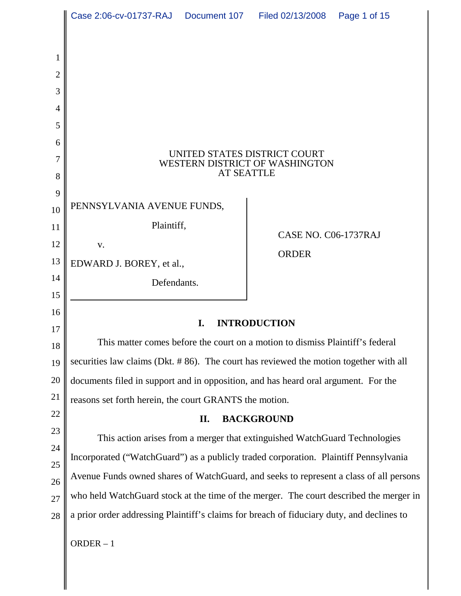|                | Case 2:06-cv-01737-RAJ  Document 107  Filed 02/13/2008                                    |  |                      | Page 1 of 15 |  |
|----------------|-------------------------------------------------------------------------------------------|--|----------------------|--------------|--|
|                |                                                                                           |  |                      |              |  |
| 1              |                                                                                           |  |                      |              |  |
| 2              |                                                                                           |  |                      |              |  |
| 3              |                                                                                           |  |                      |              |  |
| $\overline{4}$ |                                                                                           |  |                      |              |  |
| 5              |                                                                                           |  |                      |              |  |
| 6              |                                                                                           |  |                      |              |  |
| 7              | UNITED STATES DISTRICT COURT<br>WESTERN DISTRICT OF WASHINGTON                            |  |                      |              |  |
| 8              | <b>AT SEATTLE</b>                                                                         |  |                      |              |  |
| 9              | PENNSYLVANIA AVENUE FUNDS,                                                                |  |                      |              |  |
| 10             | Plaintiff,                                                                                |  |                      |              |  |
| 11<br>12       |                                                                                           |  | CASE NO. C06-1737RAJ |              |  |
| 13             | V.                                                                                        |  | <b>ORDER</b>         |              |  |
| 14             | EDWARD J. BOREY, et al.,                                                                  |  |                      |              |  |
| 15             | Defendants.                                                                               |  |                      |              |  |
| 16             |                                                                                           |  |                      |              |  |
| 17             | I.<br><b>INTRODUCTION</b>                                                                 |  |                      |              |  |
| 18             | This matter comes before the court on a motion to dismiss Plaintiff's federal             |  |                      |              |  |
| 19             | securities law claims (Dkt. #86). The court has reviewed the motion together with all     |  |                      |              |  |
| 20             | documents filed in support and in opposition, and has heard oral argument. For the        |  |                      |              |  |
| 21             | reasons set forth herein, the court GRANTS the motion.                                    |  |                      |              |  |
| 22             | <b>BACKGROUND</b><br>П.                                                                   |  |                      |              |  |
| 23             | This action arises from a merger that extinguished WatchGuard Technologies                |  |                      |              |  |
| 24             | Incorporated ("WatchGuard") as a publicly traded corporation. Plaintiff Pennsylvania      |  |                      |              |  |
| 25<br>26       | Avenue Funds owned shares of WatchGuard, and seeks to represent a class of all persons    |  |                      |              |  |
| 27             | who held WatchGuard stock at the time of the merger. The court described the merger in    |  |                      |              |  |
| 28             | a prior order addressing Plaintiff's claims for breach of fiduciary duty, and declines to |  |                      |              |  |
|                |                                                                                           |  |                      |              |  |
|                | $ORDER - 1$                                                                               |  |                      |              |  |
|                |                                                                                           |  |                      |              |  |

 $\parallel$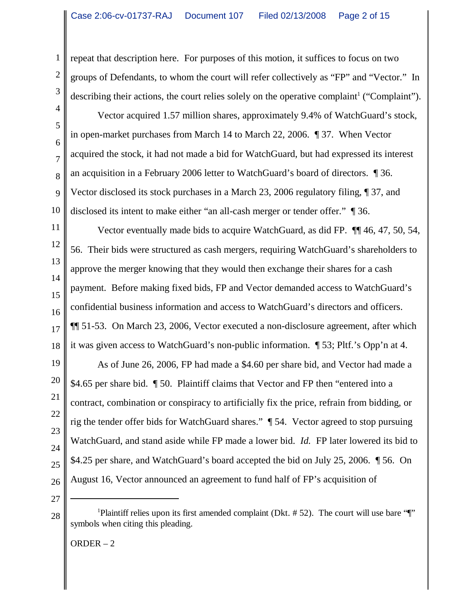repeat that description here. For purposes of this motion, it suffices to focus on two groups of Defendants, to whom the court will refer collectively as "FP" and "Vector." In describing their actions, the court relies solely on the operative complaint<sup>1</sup> ("Complaint").

Vector acquired 1.57 million shares, approximately 9.4% of WatchGuard's stock, in open-market purchases from March 14 to March 22, 2006. ¶ 37. When Vector acquired the stock, it had not made a bid for WatchGuard, but had expressed its interest an acquisition in a February 2006 letter to WatchGuard's board of directors. ¶ 36. Vector disclosed its stock purchases in a March 23, 2006 regulatory filing, ¶ 37, and disclosed its intent to make either "an all-cash merger or tender offer." ¶ 36.

Vector eventually made bids to acquire WatchGuard, as did FP. ¶¶ 46, 47, 50, 54, 56. Their bids were structured as cash mergers, requiring WatchGuard's shareholders to approve the merger knowing that they would then exchange their shares for a cash payment. Before making fixed bids, FP and Vector demanded access to WatchGuard's confidential business information and access to WatchGuard's directors and officers. ¶¶ 51-53. On March 23, 2006, Vector executed a non-disclosure agreement, after which it was given access to WatchGuard's non-public information. ¶ 53; Pltf.'s Opp'n at 4.

As of June 26, 2006, FP had made a \$4.60 per share bid, and Vector had made a \$4.65 per share bid. ¶ 50. Plaintiff claims that Vector and FP then "entered into a contract, combination or conspiracy to artificially fix the price, refrain from bidding, or rig the tender offer bids for WatchGuard shares." ¶ 54. Vector agreed to stop pursuing WatchGuard, and stand aside while FP made a lower bid. *Id.* FP later lowered its bid to \$4.25 per share, and WatchGuard's board accepted the bid on July 25, 2006. ¶ 56. On August 16, Vector announced an agreement to fund half of FP's acquisition of

28

ORDER – 2

1

2

3

4

<sup>&</sup>lt;sup>1</sup>Plaintiff relies upon its first amended complaint (Dkt. #52). The court will use bare "[" symbols when citing this pleading.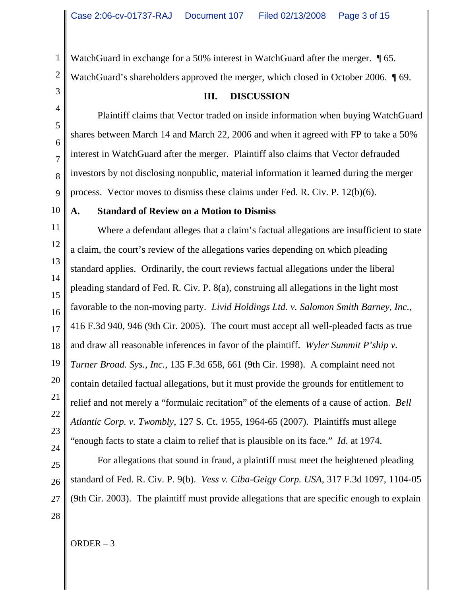WatchGuard in exchange for a 50% interest in WatchGuard after the merger.  $\sqrt{\ }$  65. WatchGuard's shareholders approved the merger, which closed in October 2006.  $\sqrt{\ }$  69.

3 4

1

2

**III. DISCUSSION**

Plaintiff claims that Vector traded on inside information when buying WatchGuard shares between March 14 and March 22, 2006 and when it agreed with FP to take a 50% interest in WatchGuard after the merger. Plaintiff also claims that Vector defrauded investors by not disclosing nonpublic, material information it learned during the merger process. Vector moves to dismiss these claims under Fed. R. Civ. P. 12(b)(6).

# **A. Standard of Review on a Motion to Dismiss**

Where a defendant alleges that a claim's factual allegations are insufficient to state a claim, the court's review of the allegations varies depending on which pleading standard applies. Ordinarily, the court reviews factual allegations under the liberal pleading standard of Fed. R. Civ. P. 8(a), construing all allegations in the light most favorable to the non-moving party. *Livid Holdings Ltd. v. Salomon Smith Barney, Inc.*, 416 F.3d 940, 946 (9th Cir. 2005). The court must accept all well-pleaded facts as true and draw all reasonable inferences in favor of the plaintiff. *Wyler Summit P'ship v. Turner Broad. Sys., Inc.*, 135 F.3d 658, 661 (9th Cir. 1998).A complaint need not contain detailed factual allegations, but it must provide the grounds for entitlement to relief and not merely a "formulaic recitation" of the elements of a cause of action. *Bell Atlantic Corp. v. Twombly*, 127 S. Ct. 1955, 1964-65 (2007). Plaintiffs must allege "enough facts to state a claim to relief that is plausible on its face." *Id*. at 1974.

For allegations that sound in fraud, a plaintiff must meet the heightened pleading standard of Fed. R. Civ. P. 9(b). *Vess v. Ciba-Geigy Corp. USA*, 317 F.3d 1097, 1104-05 (9th Cir. 2003). The plaintiff must provide allegations that are specific enough to explain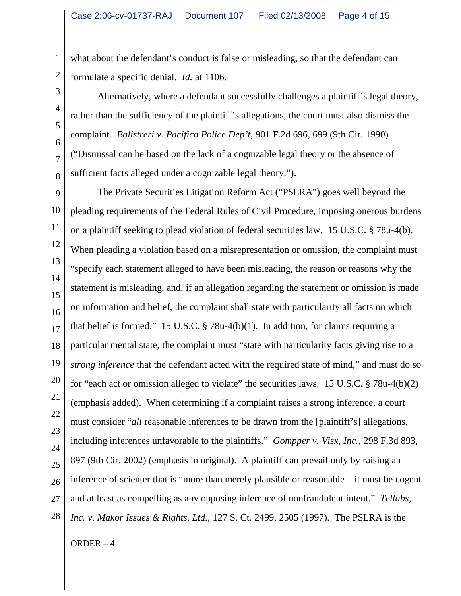what about the defendant's conduct is false or misleading, so that the defendant can formulate a specific denial. *Id.* at 1106.

Alternatively, where a defendant successfully challenges a plaintiff's legal theory, rather than the sufficiency of the plaintiff's allegations, the court must also dismiss the complaint. *Balistreri v. Pacifica Police Dep't*, 901 F.2d 696, 699 (9th Cir. 1990) ("Dismissal can be based on the lack of a cognizable legal theory or the absence of sufficient facts alleged under a cognizable legal theory.").

9 10 11 12 13 14 15 16 17 18 19 20 21 22 23 24 25 26 27 28 The Private Securities Litigation Reform Act ("PSLRA") goes well beyond the pleading requirements of the Federal Rules of Civil Procedure, imposing onerous burdens on a plaintiff seeking to plead violation of federal securities law. 15 U.S.C. § 78u-4(b). When pleading a violation based on a misrepresentation or omission, the complaint must "specify each statement alleged to have been misleading, the reason or reasons why the statement is misleading, and, if an allegation regarding the statement or omission is made on information and belief, the complaint shall state with particularity all facts on which that belief is formed." 15 U.S.C.  $\S$  78u-4(b)(1). In addition, for claims requiring a particular mental state, the complaint must "state with particularity facts giving rise to a *strong inference* that the defendant acted with the required state of mind," and must do so for "each act or omission alleged to violate" the securities laws. 15 U.S.C. § 78u-4(b)(2) (emphasis added). When determining if a complaint raises a strong inference, a court must consider "*all* reasonable inferences to be drawn from the [plaintiff's] allegations, including inferences unfavorable to the plaintiffs." *Gompper v. Visx, Inc.*, 298 F.3d 893, 897 (9th Cir. 2002) (emphasis in original). A plaintiff can prevail only by raising an inference of scienter that is "more than merely plausible or reasonable – it must be cogent and at least as compelling as any opposing inference of nonfraudulent intent." *Tellabs, Inc. v. Makor Issues & Rights, Ltd.*, 127 S. Ct. 2499, 2505 (1997). The PSLRA is the

ORDER – 4

1

2

3

4

5

6

7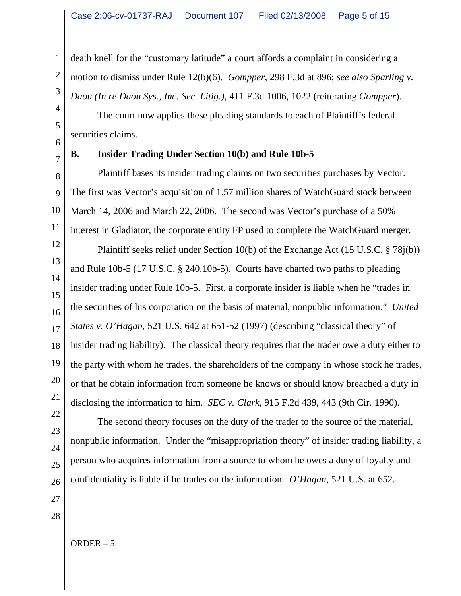death knell for the "customary latitude" a court affords a complaint in considering a motion to dismiss under Rule 12(b)(6). *Gompper*, 298 F.3d at 896; *see also Sparling v. Daou (In re Daou Sys., Inc. Sec. Litig.)*, 411 F.3d 1006, 1022 (reiterating *Gompper*).

The court now applies these pleading standards to each of Plaintiff's federal securities claims.

6 7

1

2

3

4

5

# **B. Insider Trading Under Section 10(b) and Rule 10b-5**

8 9 10 11 Plaintiff bases its insider trading claims on two securities purchases by Vector. The first was Vector's acquisition of 1.57 million shares of WatchGuard stock between March 14, 2006 and March 22, 2006. The second was Vector's purchase of a 50% interest in Gladiator, the corporate entity FP used to complete the WatchGuard merger.

12 13 14 15 16 17 18 19 20 21 Plaintiff seeks relief under Section 10(b) of the Exchange Act (15 U.S.C. § 78j(b)) and Rule 10b-5 (17 U.S.C. § 240.10b-5). Courts have charted two paths to pleading insider trading under Rule 10b-5. First, a corporate insider is liable when he "trades in the securities of his corporation on the basis of material, nonpublic information." *United States v. O'Hagan*, 521 U.S. 642 at 651-52 (1997) (describing "classical theory" of insider trading liability). The classical theory requires that the trader owe a duty either to the party with whom he trades, the shareholders of the company in whose stock he trades, or that he obtain information from someone he knows or should know breached a duty in disclosing the information to him. *SEC v. Clark*, 915 F.2d 439, 443 (9th Cir. 1990).

The second theory focuses on the duty of the trader to the source of the material, nonpublic information. Under the "misappropriation theory" of insider trading liability, a person who acquires information from a source to whom he owes a duty of loyalty and confidentiality is liable if he trades on the information. *O'Hagan*, 521 U.S. at 652.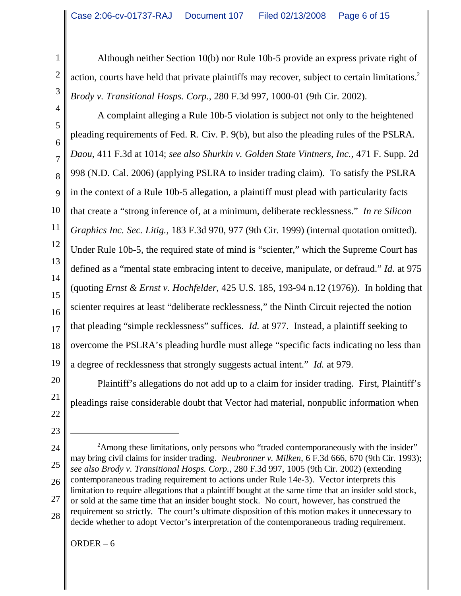Although neither Section 10(b) nor Rule 10b-5 provide an express private right of action, courts have held that private plaintiffs may recover, subject to certain limitations.<sup>2</sup> *Brody v. Transitional Hosps. Corp.*, 280 F.3d 997, 1000-01 (9th Cir. 2002).

4 5 6 7 8 9 10 11 12 13 14 15 16 17 18 19 A complaint alleging a Rule 10b-5 violation is subject not only to the heightened pleading requirements of Fed. R. Civ. P. 9(b), but also the pleading rules of the PSLRA. *Daou*, 411 F.3d at 1014; *see also Shurkin v. Golden State Vintners, Inc.*, 471 F. Supp. 2d 998 (N.D. Cal. 2006) (applying PSLRA to insider trading claim). To satisfy the PSLRA in the context of a Rule 10b-5 allegation, a plaintiff must plead with particularity facts that create a "strong inference of, at a minimum, deliberate recklessness." *In re Silicon Graphics Inc. Sec. Litig.*, 183 F.3d 970, 977 (9th Cir. 1999) (internal quotation omitted). Under Rule 10b-5, the required state of mind is "scienter," which the Supreme Court has defined as a "mental state embracing intent to deceive, manipulate, or defraud." *Id.* at 975 (quoting *Ernst & Ernst v. Hochfelder*, 425 U.S. 185, 193-94 n.12 (1976)). In holding that scienter requires at least "deliberate recklessness," the Ninth Circuit rejected the notion that pleading "simple recklessness" suffices. *Id.* at 977. Instead, a plaintiff seeking to overcome the PSLRA's pleading hurdle must allege "specific facts indicating no less than a degree of recklessness that strongly suggests actual intent." *Id.* at 979.

Plaintiff's allegations do not add up to a claim for insider trading. First, Plaintiff's pleadings raise considerable doubt that Vector had material, nonpublic information when

23

20

21

22

1

2

3

24 25 26 27 28 <sup>2</sup> Among these limitations, only persons who "traded contemporaneously with the insider" may bring civil claims for insider trading. *Neubronner v. Milken*, 6 F.3d 666, 670 (9th Cir. 1993); *see also Brody v. Transitional Hosps. Corp.*, 280 F.3d 997, 1005 (9th Cir. 2002) (extending contemporaneous trading requirement to actions under Rule 14e-3). Vector interprets this limitation to require allegations that a plaintiff bought at the same time that an insider sold stock, or sold at the same time that an insider bought stock. No court, however, has construed the requirement so strictly. The court's ultimate disposition of this motion makes it unnecessary to decide whether to adopt Vector's interpretation of the contemporaneous trading requirement.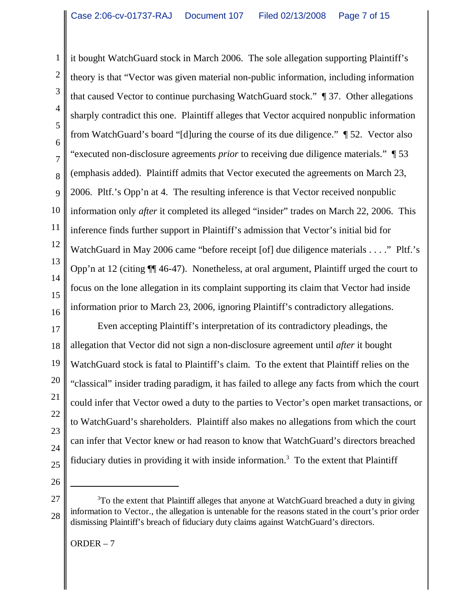1 2 3 4 5 6 7 8 9 10 11 12 13 14 15 16 it bought WatchGuard stock in March 2006. The sole allegation supporting Plaintiff's theory is that "Vector was given material non-public information, including information that caused Vector to continue purchasing WatchGuard stock." ¶ 37. Other allegations sharply contradict this one. Plaintiff alleges that Vector acquired nonpublic information from WatchGuard's board "[d]uring the course of its due diligence." ¶ 52. Vector also "executed non-disclosure agreements *prior* to receiving due diligence materials." ¶ 53 (emphasis added). Plaintiff admits that Vector executed the agreements on March 23, 2006. Pltf.'s Opp'n at 4. The resulting inference is that Vector received nonpublic information only *after* it completed its alleged "insider" trades on March 22, 2006. This inference finds further support in Plaintiff's admission that Vector's initial bid for WatchGuard in May 2006 came "before receipt [of] due diligence materials . . . ." Pltf.'s Opp'n at 12 (citing ¶¶ 46-47). Nonetheless, at oral argument, Plaintiff urged the court to focus on the lone allegation in its complaint supporting its claim that Vector had inside information prior to March 23, 2006, ignoring Plaintiff's contradictory allegations.

17 18 19 20 21 22 23 24 25 Even accepting Plaintiff's interpretation of its contradictory pleadings, the allegation that Vector did not sign a non-disclosure agreement until *after* it bought WatchGuard stock is fatal to Plaintiff's claim. To the extent that Plaintiff relies on the "classical" insider trading paradigm, it has failed to allege any facts from which the court could infer that Vector owed a duty to the parties to Vector's open market transactions, or to WatchGuard's shareholders. Plaintiff also makes no allegations from which the court can infer that Vector knew or had reason to know that WatchGuard's directors breached fiduciary duties in providing it with inside information.<sup>3</sup> To the extent that Plaintiff

26

<sup>27</sup> 28 <sup>3</sup>To the extent that Plaintiff alleges that anyone at WatchGuard breached a duty in giving information to Vector., the allegation is untenable for the reasons stated in the court's prior order dismissing Plaintiff's breach of fiduciary duty claims against WatchGuard's directors.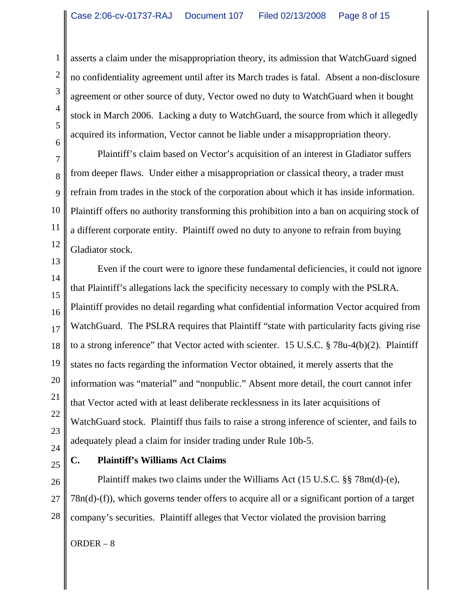asserts a claim under the misappropriation theory, its admission that WatchGuard signed no confidentiality agreement until after its March trades is fatal. Absent a non-disclosure agreement or other source of duty, Vector owed no duty to WatchGuard when it bought stock in March 2006. Lacking a duty to WatchGuard, the source from which it allegedly acquired its information, Vector cannot be liable under a misappropriation theory.

Plaintiff's claim based on Vector's acquisition of an interest in Gladiator suffers from deeper flaws. Under either a misappropriation or classical theory, a trader must refrain from trades in the stock of the corporation about which it has inside information. Plaintiff offers no authority transforming this prohibition into a ban on acquiring stock of a different corporate entity. Plaintiff owed no duty to anyone to refrain from buying Gladiator stock.

Even if the court were to ignore these fundamental deficiencies, it could not ignore that Plaintiff's allegations lack the specificity necessary to comply with the PSLRA. Plaintiff provides no detail regarding what confidential information Vector acquired from WatchGuard. The PSLRA requires that Plaintiff "state with particularity facts giving rise to a strong inference" that Vector acted with scienter. 15 U.S.C. § 78u-4(b)(2). Plaintiff states no facts regarding the information Vector obtained, it merely asserts that the information was "material" and "nonpublic." Absent more detail, the court cannot infer that Vector acted with at least deliberate recklessness in its later acquisitions of WatchGuard stock. Plaintiff thus fails to raise a strong inference of scienter, and fails to adequately plead a claim for insider trading under Rule 10b-5.

# **C. Plaintiff's Williams Act Claims**

Plaintiff makes two claims under the Williams Act (15 U.S.C. §§ 78m(d)-(e), 78n(d)-(f)), which governs tender offers to acquire all or a significant portion of a target company's securities. Plaintiff alleges that Vector violated the provision barring

ORDER – 8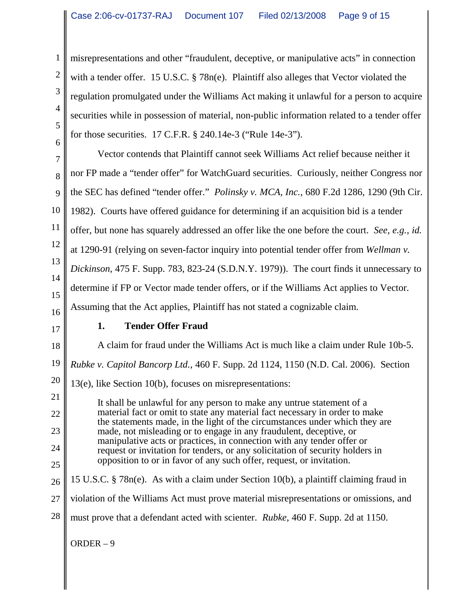misrepresentations and other "fraudulent, deceptive, or manipulative acts" in connection with a tender offer. 15 U.S.C. § 78n(e). Plaintiff also alleges that Vector violated the regulation promulgated under the Williams Act making it unlawful for a person to acquire securities while in possession of material, non-public information related to a tender offer for those securities. 17 C.F.R. § 240.14e-3 ("Rule 14e-3").

7 8 9 10 11 12 13 14 15 16 Vector contends that Plaintiff cannot seek Williams Act relief because neither it nor FP made a "tender offer" for WatchGuard securities. Curiously, neither Congress nor the SEC has defined "tender offer." *Polinsky v. MCA, Inc.*, 680 F.2d 1286, 1290 (9th Cir. 1982). Courts have offered guidance for determining if an acquisition bid is a tender offer, but none has squarely addressed an offer like the one before the court. *See, e.g.*, *id.* at 1290-91 (relying on seven-factor inquiry into potential tender offer from *Wellman v. Dickinson*, 475 F. Supp. 783, 823-24 (S.D.N.Y. 1979)). The court finds it unnecessary to determine if FP or Vector made tender offers, or if the Williams Act applies to Vector. Assuming that the Act applies, Plaintiff has not stated a cognizable claim.

17

25

1

2

3

4

5

6

### **1. Tender Offer Fraud**

18 19 20 21 22 23 24 A claim for fraud under the Williams Act is much like a claim under Rule 10b-5. *Rubke v. Capitol Bancorp Ltd.*, 460 F. Supp. 2d 1124, 1150 (N.D. Cal. 2006). Section 13(e), like Section 10(b), focuses on misrepresentations: It shall be unlawful for any person to make any untrue statement of a material fact or omit to state any material fact necessary in order to make the statements made, in the light of the circumstances under which they are made, not misleading or to engage in any fraudulent, deceptive, or manipulative acts or practices, in connection with any tender offer or request or invitation for tenders, or any solicitation of security holders in opposition to or in favor of any such offer, request, or invitation.

- 26 27 28 15 U.S.C. § 78n(e). As with a claim under Section 10(b), a plaintiff claiming fraud in violation of the Williams Act must prove material misrepresentations or omissions, and must prove that a defendant acted with scienter. *Rubke*, 460 F. Supp. 2d at 1150.
	- ORDER 9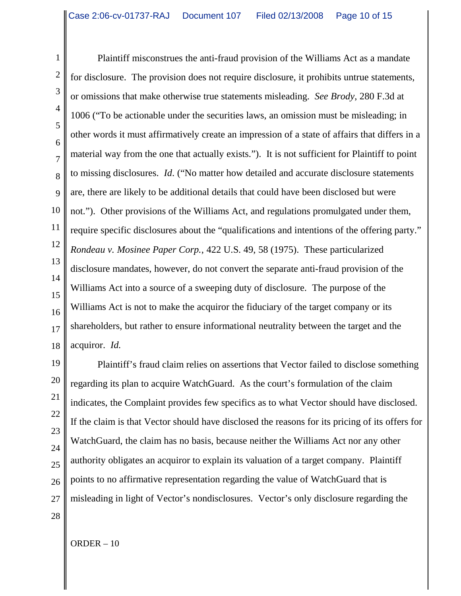1 2 3 4 5 6 7 8 9 10 11 12 13 14 15 16 17 18 Plaintiff misconstrues the anti-fraud provision of the Williams Act as a mandate for disclosure. The provision does not require disclosure, it prohibits untrue statements, or omissions that make otherwise true statements misleading. *See Brody*, 280 F.3d at 1006 ("To be actionable under the securities laws, an omission must be misleading; in other words it must affirmatively create an impression of a state of affairs that differs in a material way from the one that actually exists."). It is not sufficient for Plaintiff to point to missing disclosures. *Id*. ("No matter how detailed and accurate disclosure statements are, there are likely to be additional details that could have been disclosed but were not."). Other provisions of the Williams Act, and regulations promulgated under them, require specific disclosures about the "qualifications and intentions of the offering party." *Rondeau v. Mosinee Paper Corp.*, 422 U.S. 49, 58 (1975). These particularized disclosure mandates, however, do not convert the separate anti-fraud provision of the Williams Act into a source of a sweeping duty of disclosure. The purpose of the Williams Act is not to make the acquiror the fiduciary of the target company or its shareholders, but rather to ensure informational neutrality between the target and the acquiror. *Id.*

19 20 21 22 23 24 25 26 27 Plaintiff's fraud claim relies on assertions that Vector failed to disclose something regarding its plan to acquire WatchGuard. As the court's formulation of the claim indicates, the Complaint provides few specifics as to what Vector should have disclosed. If the claim is that Vector should have disclosed the reasons for its pricing of its offers for WatchGuard, the claim has no basis, because neither the Williams Act nor any other authority obligates an acquiror to explain its valuation of a target company. Plaintiff points to no affirmative representation regarding the value of WatchGuard that is misleading in light of Vector's nondisclosures. Vector's only disclosure regarding the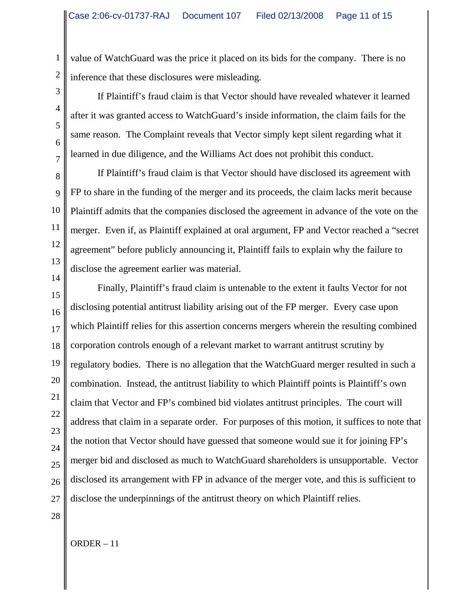value of WatchGuard was the price it placed on its bids for the company. There is no inference that these disclosures were misleading.

If Plaintiff's fraud claim is that Vector should have revealed whatever it learned after it was granted access to WatchGuard's inside information, the claim fails for the same reason. The Complaint reveals that Vector simply kept silent regarding what it learned in due diligence, and the Williams Act does not prohibit this conduct.

8 10 12 14 If Plaintiff's fraud claim is that Vector should have disclosed its agreement with FP to share in the funding of the merger and its proceeds, the claim lacks merit because Plaintiff admits that the companies disclosed the agreement in advance of the vote on the merger. Even if, as Plaintiff explained at oral argument, FP and Vector reached a "secret agreement" before publicly announcing it, Plaintiff fails to explain why the failure to disclose the agreement earlier was material.

15 16 17 18 19 20 21 22 23 24 25 26 27 Finally, Plaintiff's fraud claim is untenable to the extent it faults Vector for not disclosing potential antitrust liability arising out of the FP merger. Every case upon which Plaintiff relies for this assertion concerns mergers wherein the resulting combined corporation controls enough of a relevant market to warrant antitrust scrutiny by regulatory bodies. There is no allegation that the WatchGuard merger resulted in such a combination. Instead, the antitrust liability to which Plaintiff points is Plaintiff's own claim that Vector and FP's combined bid violates antitrust principles. The court will address that claim in a separate order. For purposes of this motion, it suffices to note that the notion that Vector should have guessed that someone would sue it for joining FP's merger bid and disclosed as much to WatchGuard shareholders is unsupportable. Vector disclosed its arrangement with FP in advance of the merger vote, and this is sufficient to disclose the underpinnings of the antitrust theory on which Plaintiff relies.

1

2

3

4

5

6

7

9

11

13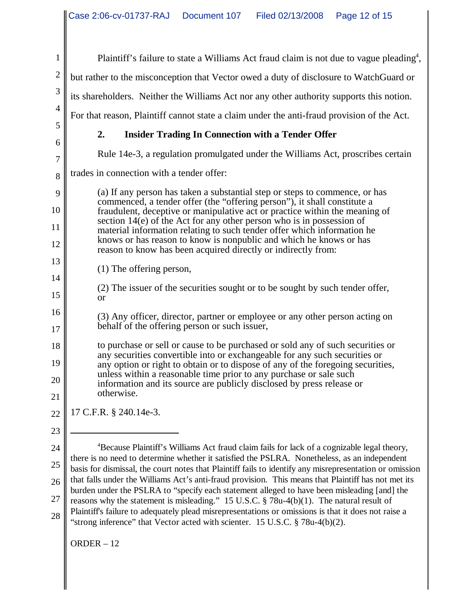| $\mathbf{1}$   | Plaintiff's failure to state a Williams Act fraud claim is not due to vague pleading <sup>4</sup> ,                                                                                                                                                                                                                                                                                                                                                                            |  |  |  |
|----------------|--------------------------------------------------------------------------------------------------------------------------------------------------------------------------------------------------------------------------------------------------------------------------------------------------------------------------------------------------------------------------------------------------------------------------------------------------------------------------------|--|--|--|
| $\sqrt{2}$     | but rather to the misconception that Vector owed a duty of disclosure to WatchGuard or                                                                                                                                                                                                                                                                                                                                                                                         |  |  |  |
| $\mathfrak{Z}$ | its shareholders. Neither the Williams Act nor any other authority supports this notion.                                                                                                                                                                                                                                                                                                                                                                                       |  |  |  |
| $\overline{4}$ | For that reason, Plaintiff cannot state a claim under the anti-fraud provision of the Act.                                                                                                                                                                                                                                                                                                                                                                                     |  |  |  |
| 5              | 2.<br><b>Insider Trading In Connection with a Tender Offer</b>                                                                                                                                                                                                                                                                                                                                                                                                                 |  |  |  |
| 6<br>$\tau$    | Rule 14e-3, a regulation promulgated under the Williams Act, proscribes certain                                                                                                                                                                                                                                                                                                                                                                                                |  |  |  |
| 8              | trades in connection with a tender offer:                                                                                                                                                                                                                                                                                                                                                                                                                                      |  |  |  |
| 9              | (a) If any person has taken a substantial step or steps to commence, or has                                                                                                                                                                                                                                                                                                                                                                                                    |  |  |  |
| 10             | commenced, a tender offer (the "offering person"), it shall constitute a<br>fraudulent, deceptive or manipulative act or practice within the meaning of<br>section 14(e) of the Act for any other person who is in possession of<br>material information relating to such tender offer which information he<br>knows or has reason to know is nonpublic and which he knows or has<br>reason to know has been acquired directly or indirectly from:<br>(1) The offering person, |  |  |  |
| 11             |                                                                                                                                                                                                                                                                                                                                                                                                                                                                                |  |  |  |
| 12             |                                                                                                                                                                                                                                                                                                                                                                                                                                                                                |  |  |  |
| 13             |                                                                                                                                                                                                                                                                                                                                                                                                                                                                                |  |  |  |
| 14             | (2) The issuer of the securities sought or to be sought by such tender offer,                                                                                                                                                                                                                                                                                                                                                                                                  |  |  |  |
| 15             | <b>or</b>                                                                                                                                                                                                                                                                                                                                                                                                                                                                      |  |  |  |
| 16<br>17       | (3) Any officer, director, partner or employee or any other person acting on<br>behalf of the offering person or such issuer,                                                                                                                                                                                                                                                                                                                                                  |  |  |  |
| 18             | to purchase or sell or cause to be purchased or sold any of such securities or<br>any securities convertible into or exchangeable for any such securities or<br>any option or right to obtain or to dispose of any of the foregoing securities,                                                                                                                                                                                                                                |  |  |  |
| 19             |                                                                                                                                                                                                                                                                                                                                                                                                                                                                                |  |  |  |
| 20             | unless within a reasonable time prior to any purchase or sale such<br>information and its source are publicly disclosed by press release or                                                                                                                                                                                                                                                                                                                                    |  |  |  |
| 21             | otherwise.                                                                                                                                                                                                                                                                                                                                                                                                                                                                     |  |  |  |
| 22             | 17 C.F.R. § 240.14e-3.                                                                                                                                                                                                                                                                                                                                                                                                                                                         |  |  |  |
| 23             |                                                                                                                                                                                                                                                                                                                                                                                                                                                                                |  |  |  |
| 24             | <sup>4</sup> Because Plaintiff's Williams Act fraud claim fails for lack of a cognizable legal theory,<br>there is no need to determine whether it satisfied the PSLRA. Nonetheless, as an independent                                                                                                                                                                                                                                                                         |  |  |  |
| 25             | basis for dismissal, the court notes that Plaintiff fails to identify any misrepresentation or omission                                                                                                                                                                                                                                                                                                                                                                        |  |  |  |
| 26             | that falls under the Williams Act's anti-fraud provision. This means that Plaintiff has not met its<br>burden under the PSLRA to "specify each statement alleged to have been misleading [and] the                                                                                                                                                                                                                                                                             |  |  |  |

reasons why the statement is misleading." 15 U.S.C. § 78u-4(b)(1). The natural result of Plaintiff's failure to adequately plead misrepresentations or omissions is that it does not raise a

"strong inference" that Vector acted with scienter. 15 U.S.C. § 78u-4(b)(2).

27 28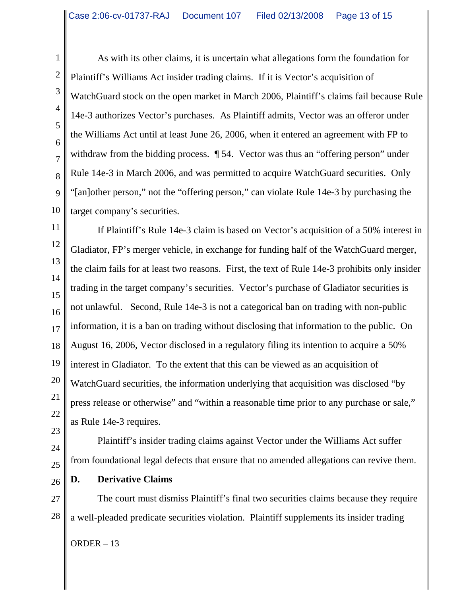As with its other claims, it is uncertain what allegations form the foundation for Plaintiff's Williams Act insider trading claims. If it is Vector's acquisition of WatchGuard stock on the open market in March 2006, Plaintiff's claims fail because Rule 14e-3 authorizes Vector's purchases. As Plaintiff admits, Vector was an offeror under the Williams Act until at least June 26, 2006, when it entered an agreement with FP to withdraw from the bidding process.  $\parallel$  54. Vector was thus an "offering person" under Rule 14e-3 in March 2006, and was permitted to acquire WatchGuard securities. Only "[an]other person," not the "offering person," can violate Rule 14e-3 by purchasing the target company's securities.

11 12 13 14 15 16 17 18 19 20 21 22 23 If Plaintiff's Rule 14e-3 claim is based on Vector's acquisition of a 50% interest in Gladiator, FP's merger vehicle, in exchange for funding half of the WatchGuard merger, the claim fails for at least two reasons. First, the text of Rule 14e-3 prohibits only insider trading in the target company's securities. Vector's purchase of Gladiator securities is not unlawful. Second, Rule 14e-3 is not a categorical ban on trading with non-public information, it is a ban on trading without disclosing that information to the public. On August 16, 2006, Vector disclosed in a regulatory filing its intention to acquire a 50% interest in Gladiator. To the extent that this can be viewed as an acquisition of WatchGuard securities, the information underlying that acquisition was disclosed "by press release or otherwise" and "within a reasonable time prior to any purchase or sale," as Rule 14e-3 requires.

Plaintiff's insider trading claims against Vector under the Williams Act suffer from foundational legal defects that ensure that no amended allegations can revive them.

26 **D. Derivative Claims**

27 28 The court must dismiss Plaintiff's final two securities claims because they require a well-pleaded predicate securities violation. Plaintiff supplements its insider trading

ORDER – 13

1

2

3

4

5

6

7

8

9

10

24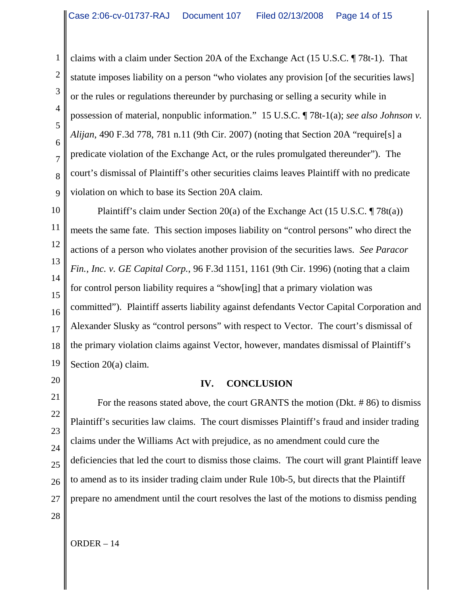claims with a claim under Section 20A of the Exchange Act (15 U.S.C. ¶ 78t-1). That statute imposes liability on a person "who violates any provision [of the securities laws] or the rules or regulations thereunder by purchasing or selling a security while in possession of material, nonpublic information." 15 U.S.C. ¶ 78t-1(a); *see also Johnson v. Alijan*, 490 F.3d 778, 781 n.11 (9th Cir. 2007) (noting that Section 20A "require[s] a predicate violation of the Exchange Act, or the rules promulgated thereunder"). The court's dismissal of Plaintiff's other securities claims leaves Plaintiff with no predicate violation on which to base its Section 20A claim.

10 Plaintiff's claim under Section 20(a) of the Exchange Act (15 U.S.C. ¶ 78t(a)) meets the same fate. This section imposes liability on "control persons" who direct the actions of a person who violates another provision of the securities laws. *See Paracor Fin., Inc. v. GE Capital Corp.*, 96 F.3d 1151, 1161 (9th Cir. 1996) (noting that a claim for control person liability requires a "show[ing] that a primary violation was committed"). Plaintiff asserts liability against defendants Vector Capital Corporation and Alexander Slusky as "control persons" with respect to Vector. The court's dismissal of the primary violation claims against Vector, however, mandates dismissal of Plaintiff's Section 20(a) claim.

# **IV. CONCLUSION**

For the reasons stated above, the court GRANTS the motion (Dkt. # 86) to dismiss Plaintiff's securities law claims. The court dismisses Plaintiff's fraud and insider trading claims under the Williams Act with prejudice, as no amendment could cure the deficiencies that led the court to dismiss those claims. The court will grant Plaintiff leave to amend as to its insider trading claim under Rule 10b-5, but directs that the Plaintiff prepare no amendment until the court resolves the last of the motions to dismiss pending

1

2

3

4

5

6

7

8

9